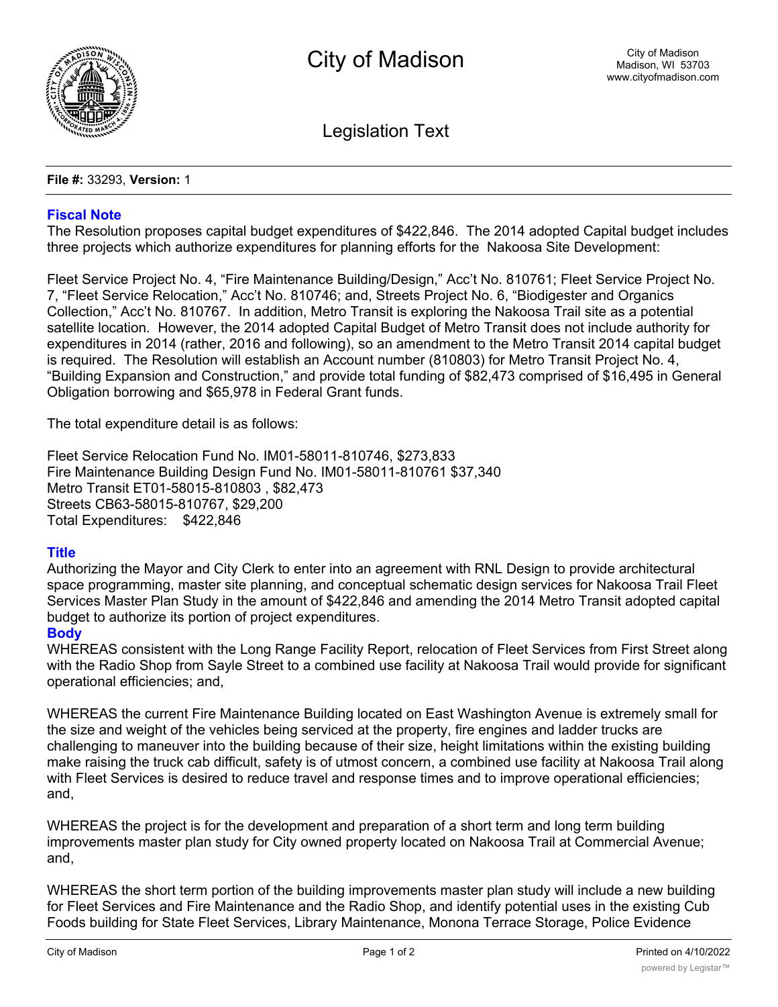

Legislation Text

**File #:** 33293, **Version:** 1

## **Fiscal Note**

The Resolution proposes capital budget expenditures of \$422,846. The 2014 adopted Capital budget includes three projects which authorize expenditures for planning efforts for the Nakoosa Site Development:

Fleet Service Project No. 4, "Fire Maintenance Building/Design," Acc't No. 810761; Fleet Service Project No. 7, "Fleet Service Relocation," Acc't No. 810746; and, Streets Project No. 6, "Biodigester and Organics Collection," Acc't No. 810767. In addition, Metro Transit is exploring the Nakoosa Trail site as a potential satellite location. However, the 2014 adopted Capital Budget of Metro Transit does not include authority for expenditures in 2014 (rather, 2016 and following), so an amendment to the Metro Transit 2014 capital budget is required. The Resolution will establish an Account number (810803) for Metro Transit Project No. 4, "Building Expansion and Construction," and provide total funding of \$82,473 comprised of \$16,495 in General Obligation borrowing and \$65,978 in Federal Grant funds.

The total expenditure detail is as follows:

Fleet Service Relocation Fund No. IM01-58011-810746, \$273,833 Fire Maintenance Building Design Fund No. IM01-58011-810761 \$37,340 Metro Transit ET01-58015-810803 , \$82,473 Streets CB63-58015-810767, \$29,200 Total Expenditures: \$422,846

## **Title**

Authorizing the Mayor and City Clerk to enter into an agreement with RNL Design to provide architectural space programming, master site planning, and conceptual schematic design services for Nakoosa Trail Fleet Services Master Plan Study in the amount of \$422,846 and amending the 2014 Metro Transit adopted capital budget to authorize its portion of project expenditures.

## **Body**

WHEREAS consistent with the Long Range Facility Report, relocation of Fleet Services from First Street along with the Radio Shop from Sayle Street to a combined use facility at Nakoosa Trail would provide for significant operational efficiencies; and,

WHEREAS the current Fire Maintenance Building located on East Washington Avenue is extremely small for the size and weight of the vehicles being serviced at the property, fire engines and ladder trucks are challenging to maneuver into the building because of their size, height limitations within the existing building make raising the truck cab difficult, safety is of utmost concern, a combined use facility at Nakoosa Trail along with Fleet Services is desired to reduce travel and response times and to improve operational efficiencies; and,

WHEREAS the project is for the development and preparation of a short term and long term building improvements master plan study for City owned property located on Nakoosa Trail at Commercial Avenue; and,

WHEREAS the short term portion of the building improvements master plan study will include a new building for Fleet Services and Fire Maintenance and the Radio Shop, and identify potential uses in the existing Cub Foods building for State Fleet Services, Library Maintenance, Monona Terrace Storage, Police Evidence